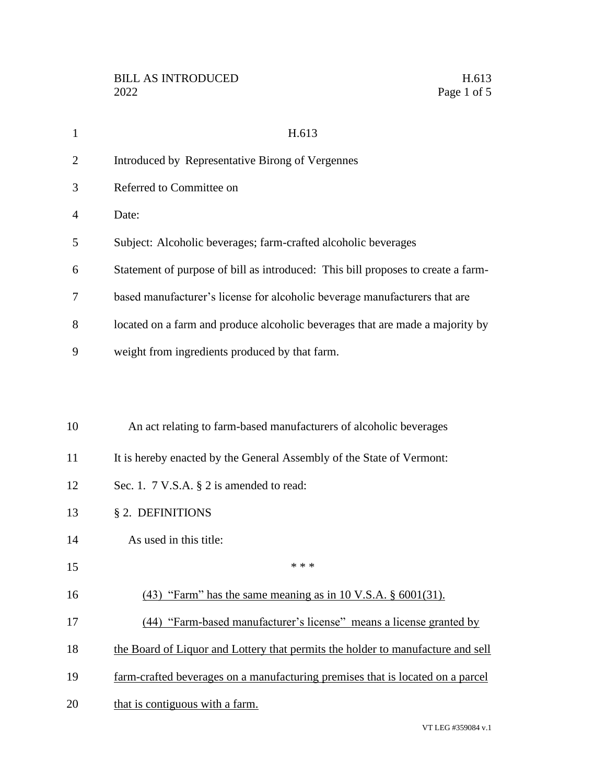| $\mathbf{1}$ | H.613                                                                            |
|--------------|----------------------------------------------------------------------------------|
| 2            | Introduced by Representative Birong of Vergennes                                 |
| 3            | Referred to Committee on                                                         |
| 4            | Date:                                                                            |
| 5            | Subject: Alcoholic beverages; farm-crafted alcoholic beverages                   |
| 6            | Statement of purpose of bill as introduced: This bill proposes to create a farm- |
| 7            | based manufacturer's license for alcoholic beverage manufacturers that are       |
| 8            | located on a farm and produce alcoholic beverages that are made a majority by    |
| 9            | weight from ingredients produced by that farm.                                   |
|              |                                                                                  |
|              |                                                                                  |
| 10           | An act relating to farm-based manufacturers of alcoholic beverages               |
| 11           | It is hereby enacted by the General Assembly of the State of Vermont:            |
| 12           | Sec. 1. 7 V.S.A. § 2 is amended to read:                                         |
| 13           | § 2. DEFINITIONS                                                                 |
| 14           | As used in this title:                                                           |
| 15           | * * *                                                                            |
| 16           | $(43)$ "Farm" has the same meaning as in 10 V.S.A. § 6001(31).                   |
| 17           | (44) "Farm-based manufacturer's license" means a license granted by              |
| 18           | the Board of Liquor and Lottery that permits the holder to manufacture and sell  |
| 19           | farm-crafted beverages on a manufacturing premises that is located on a parcel   |
| 20           | that is contiguous with a farm.                                                  |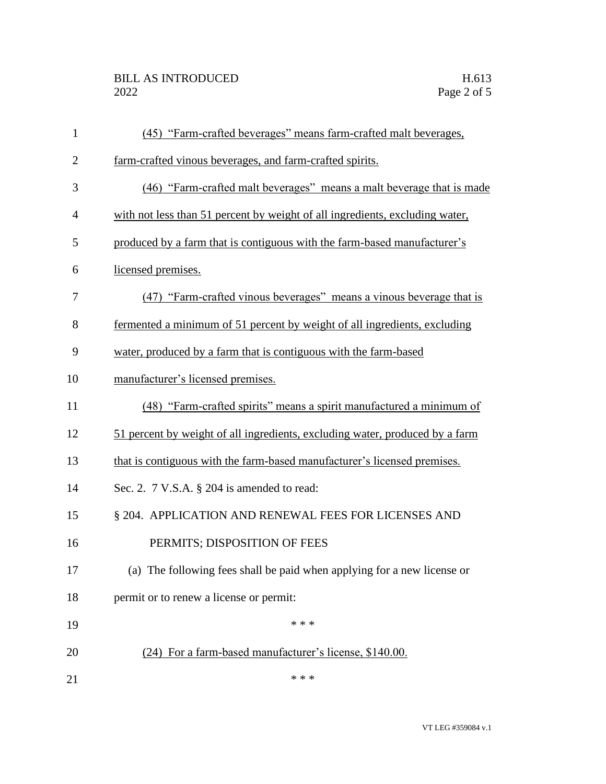| $\mathbf{1}$   | (45) "Farm-crafted beverages" means farm-crafted malt beverages,             |
|----------------|------------------------------------------------------------------------------|
| $\overline{2}$ | farm-crafted vinous beverages, and farm-crafted spirits.                     |
| 3              | (46) "Farm-crafted malt beverages" means a malt beverage that is made        |
| $\overline{4}$ | with not less than 51 percent by weight of all ingredients, excluding water, |
| 5              | produced by a farm that is contiguous with the farm-based manufacturer's     |
| 6              | licensed premises.                                                           |
| 7              | (47) "Farm-crafted vinous beverages" means a vinous beverage that is         |
| 8              | fermented a minimum of 51 percent by weight of all ingredients, excluding    |
| 9              | water, produced by a farm that is contiguous with the farm-based             |
| 10             | manufacturer's licensed premises.                                            |
| 11             | (48) "Farm-crafted spirits" means a spirit manufactured a minimum of         |
| 12             | 51 percent by weight of all ingredients, excluding water, produced by a farm |
| 13             | that is contiguous with the farm-based manufacturer's licensed premises.     |
| 14             | Sec. 2. $7$ V.S.A. $\S$ 204 is amended to read:                              |
| 15             | § 204. APPLICATION AND RENEWAL FEES FOR LICENSES AND                         |
| 16             | PERMITS; DISPOSITION OF FEES                                                 |
| 17             | (a) The following fees shall be paid when applying for a new license or      |
| 18             | permit or to renew a license or permit:                                      |
| 19             | * * *                                                                        |
| 20             | (24) For a farm-based manufacturer's license, \$140.00.                      |
| 21             | * * *                                                                        |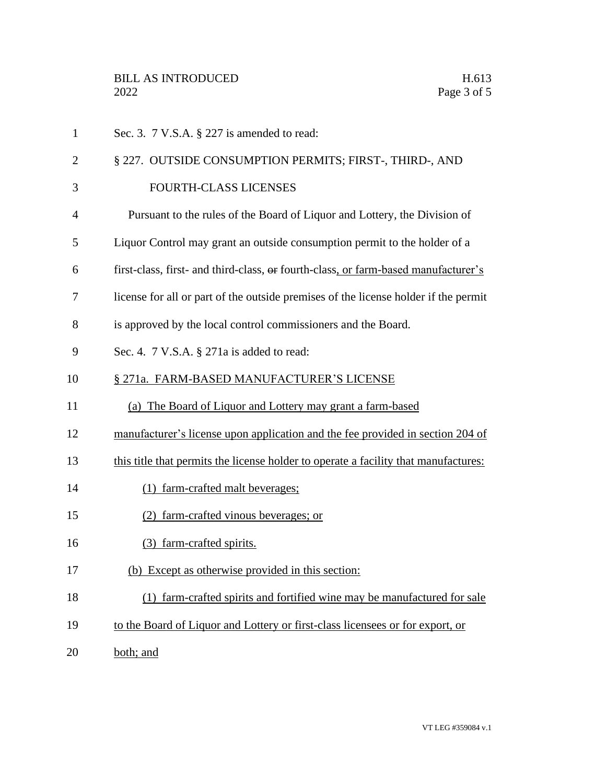| $\mathbf{1}$   | Sec. 3. $7$ V.S.A. $\S$ 227 is amended to read:                                     |
|----------------|-------------------------------------------------------------------------------------|
| $\overline{2}$ | § 227. OUTSIDE CONSUMPTION PERMITS; FIRST-, THIRD-, AND                             |
| 3              | FOURTH-CLASS LICENSES                                                               |
| 4              | Pursuant to the rules of the Board of Liquor and Lottery, the Division of           |
| 5              | Liquor Control may grant an outside consumption permit to the holder of a           |
| 6              | first-class, first- and third-class, or fourth-class, or farm-based manufacturer's  |
| 7              | license for all or part of the outside premises of the license holder if the permit |
| 8              | is approved by the local control commissioners and the Board.                       |
| 9              | Sec. 4. 7 V.S.A. § 271a is added to read:                                           |
| 10             | § 271a. FARM-BASED MANUFACTURER'S LICENSE                                           |
| 11             | (a) The Board of Liquor and Lottery may grant a farm-based                          |
| 12             | manufacturer's license upon application and the fee provided in section 204 of      |
| 13             | this title that permits the license holder to operate a facility that manufactures: |
| 14             | (1) farm-crafted malt beverages;                                                    |
| 15             | (2) farm-crafted vinous beverages; or                                               |
| 16             | (3) farm-crafted spirits.                                                           |
| 17             | (b) Except as otherwise provided in this section:                                   |
| 18             | (1) farm-crafted spirits and fortified wine may be manufactured for sale            |
| 19             | to the Board of Liquor and Lottery or first-class licensees or for export, or       |
| 20             | both; and                                                                           |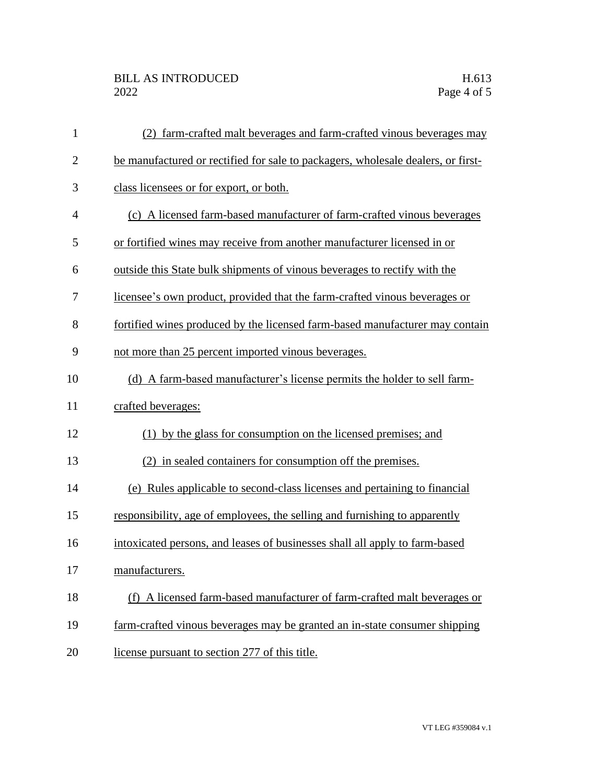| $\mathbf{1}$ | (2) farm-crafted malt beverages and farm-crafted vinous beverages may            |
|--------------|----------------------------------------------------------------------------------|
| $\mathbf{2}$ | be manufactured or rectified for sale to packagers, wholesale dealers, or first- |
| 3            | class licensees or for export, or both.                                          |
| 4            | (c) A licensed farm-based manufacturer of farm-crafted vinous beverages          |
| 5            | or fortified wines may receive from another manufacturer licensed in or          |
| 6            | outside this State bulk shipments of vinous beverages to rectify with the        |
| 7            | licensee's own product, provided that the farm-crafted vinous beverages or       |
| 8            | fortified wines produced by the licensed farm-based manufacturer may contain     |
| 9            | not more than 25 percent imported vinous beverages.                              |
| 10           | (d) A farm-based manufacturer's license permits the holder to sell farm-         |
| 11           | crafted beverages:                                                               |
| 12           | (1) by the glass for consumption on the licensed premises; and                   |
| 13           | (2) in sealed containers for consumption off the premises.                       |
| 14           | (e) Rules applicable to second-class licenses and pertaining to financial        |
| 15           | responsibility, age of employees, the selling and furnishing to apparently       |
| 16           | intoxicated persons, and leases of businesses shall all apply to farm-based      |
| 17           | manufacturers.                                                                   |
| 18           | (f) A licensed farm-based manufacturer of farm-crafted malt beverages or         |
| 19           | farm-crafted vinous beverages may be granted an in-state consumer shipping       |
| 20           | license pursuant to section 277 of this title.                                   |